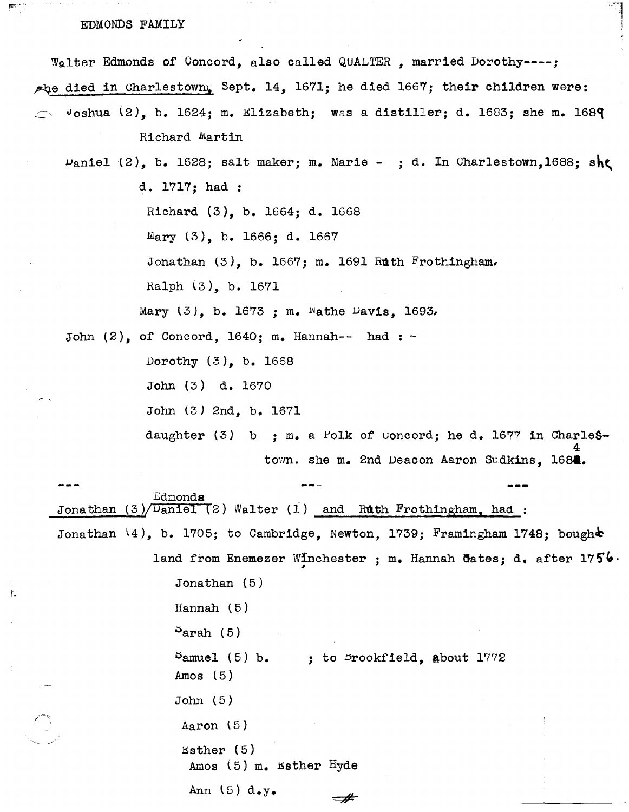## EDMONDS FAMILY

Walter Edmonds of Concord, also called QUALTER, married Dorothy----;

the died in Charlestown, Sept. 14, 1671; he died 1667; their children were:

 $\sigma$ oshua (2), b. 1624; m. Elizabeth; was a distiller; d. 1683; she m. 1689  $\Rightarrow$ Richard Martin

 $\nu_{\text{aniel}}(2)$ , b. 1628; salt maker; m. Marie - ; d. In Charlestown, 1688; she d. 1717; had :

Richard (3), b. 1664; d. 1668

Mary  $(3)$ , b. 1666; d. 1667

Jonathan  $(3)$ , b. 1667; m. 1691 Ruth Frothingham.

Ralph (3), b. 1671

Mary  $(3)$ , b. 1673 ; m. Nathe Davis, 1693.

John  $(2)$ , of Concord, 1640; m. Hannah-- had : -

Dorothy (3), b. 1668

John (3) d. 1670

John (3) 2nd, b. 1671

daughter (3) b ; m. a Folk of Concord; he d. 1677 in Charlestown. she m. 2nd Deacon Aaron Sudkins, 1684.

Edmonda Jonathan  $(3)/$ Daniel  $(2)$  Walter  $(1)$  and Ruth Frothingham, had : Jonathan  $(4)$ , b. 1705; to Cambridge, Newton, 1739; Framingham 1748; bough $\blacktriangle$ land from Enemezer Winchester ; m. Hannah Gates; d. after  $1756$ . Jonathan  $(5)$ Hannah  $(5)$  $S<sub>arah</sub>$  (5)  $S$ amuel (5) b. ; to Drookfield, about 1772 Amos  $(5)$ 

 $\neq$ 

 $John(5)$ 

ţ.

Aaron  $(5)$ 

Esther  $(5)$ Amos (5) m. Esther Hyde

Ann  $(5) d_{\bullet}y_{\bullet}$